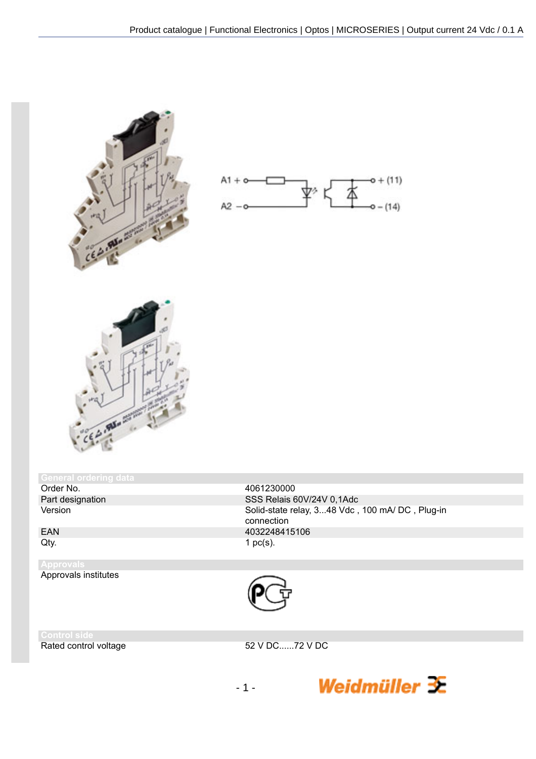





## General ordering data<br>Order No.

Order No. 4061230000<br>
Part designation and the set of the SSS Relais 6

Part designation SSS Relais 60V/24V 0,1Adc<br>Version Solid-state relay. 3...48 Vdc. Solid-state relay, 3...48 Vdc, 100 mA/ DC, Plug-in connection EAN 4032248415106<br>Qty. 1 pc(s). 1 pc(s).

## **Approv** Approvals institutes



Rated control voltage 52 V DC......72 V DC